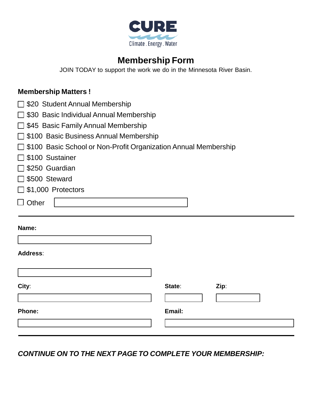

## **Membership Form**

JOIN TODAY to support the work we do in the Minnesota River Basin.

## **Membership Matters !**

- □ \$20 Student Annual Membership
- □ \$30 Basic Individual Annual Membership
- $\Box$  \$45 Basic Family Annual Membership
- □ \$100 Basic Business Annual Membership
- □ \$100 Basic School or Non-Profit Organization Annual Membership
- □ \$100 Sustainer
- $\Box$  \$250 Guardian
- □ \$500 Steward
- □ \$1,000 Protectors
- $\Box$  Other

## **Name:**

| <b>Address:</b> |
|-----------------|
|-----------------|

| City:  | State: | Zip: |
|--------|--------|------|
|        |        |      |
| Phone: | Email: |      |
|        |        |      |

*CONTINUE ON TO THE NEXT PAGE TO COMPLETE YOUR MEMBERSHIP:*